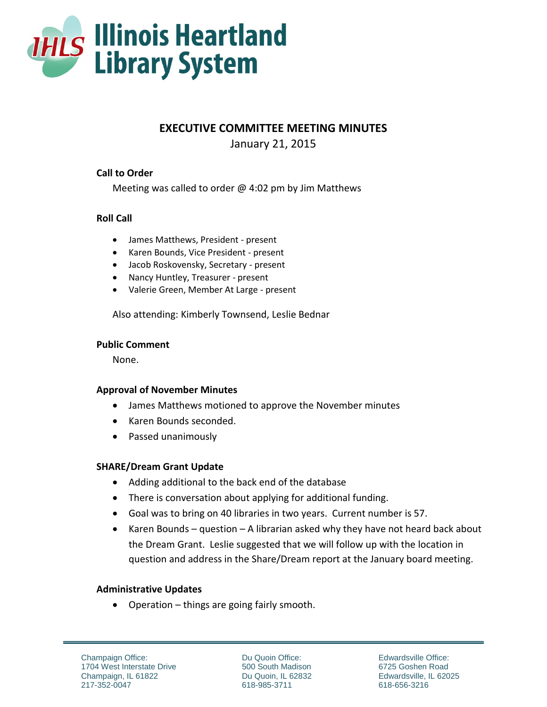

# **EXECUTIVE COMMITTEE MEETING MINUTES**

January 21, 2015

### **Call to Order**

Meeting was called to order  $\omega$  4:02 pm by Jim Matthews

### **Roll Call**

- James Matthews, President present
- Karen Bounds, Vice President present
- Jacob Roskovensky, Secretary present
- Nancy Huntley, Treasurer present
- Valerie Green, Member At Large present

Also attending: Kimberly Townsend, Leslie Bednar

#### **Public Comment**

None.

### **Approval of November Minutes**

- James Matthews motioned to approve the November minutes
- Karen Bounds seconded.
- Passed unanimously

## **SHARE/Dream Grant Update**

- Adding additional to the back end of the database
- There is conversation about applying for additional funding.
- Goal was to bring on 40 libraries in two years. Current number is 57.
- Karen Bounds question A librarian asked why they have not heard back about the Dream Grant. Leslie suggested that we will follow up with the location in question and address in the Share/Dream report at the January board meeting.

### **Administrative Updates**

• Operation – things are going fairly smooth.

Champaign Office: 1704 West Interstate Drive Champaign, IL 61822 217-352-0047

Du Quoin Office: 500 South Madison Du Quoin, IL 62832 618-985-3711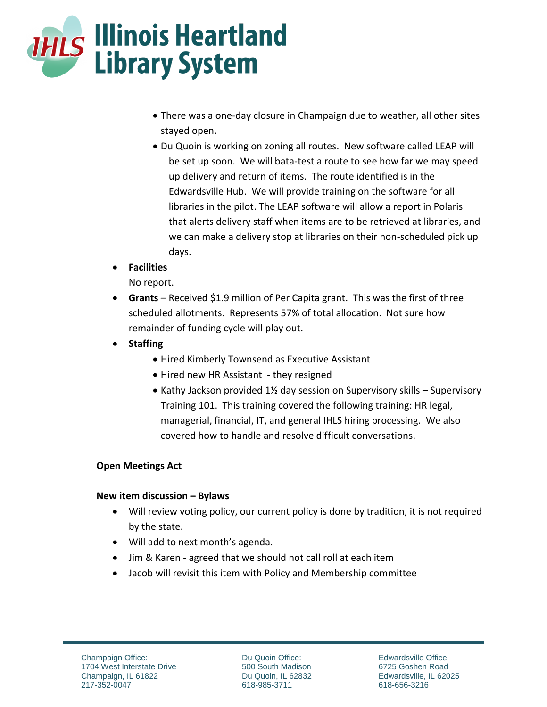

- There was a one-day closure in Champaign due to weather, all other sites stayed open.
- Du Quoin is working on zoning all routes. New software called LEAP will be set up soon. We will bata-test a route to see how far we may speed up delivery and return of items. The route identified is in the Edwardsville Hub. We will provide training on the software for all libraries in the pilot. The LEAP software will allow a report in Polaris that alerts delivery staff when items are to be retrieved at libraries, and we can make a delivery stop at libraries on their non-scheduled pick up days.
- **Facilities**

No report.

- **Grants** Received \$1.9 million of Per Capita grant. This was the first of three scheduled allotments. Represents 57% of total allocation. Not sure how remainder of funding cycle will play out.
- **Staffing**
	- Hired Kimberly Townsend as Executive Assistant
	- Hired new HR Assistant they resigned
	- Kathy Jackson provided  $1\frac{1}{2}$  day session on Supervisory skills Supervisory Training 101. This training covered the following training: HR legal, managerial, financial, IT, and general IHLS hiring processing. We also covered how to handle and resolve difficult conversations.

## **Open Meetings Act**

## **New item discussion – Bylaws**

- Will review voting policy, our current policy is done by tradition, it is not required by the state.
- Will add to next month's agenda.
- Jim & Karen agreed that we should not call roll at each item
- Jacob will revisit this item with Policy and Membership committee

Du Quoin Office: 500 South Madison Du Quoin, IL 62832 618-985-3711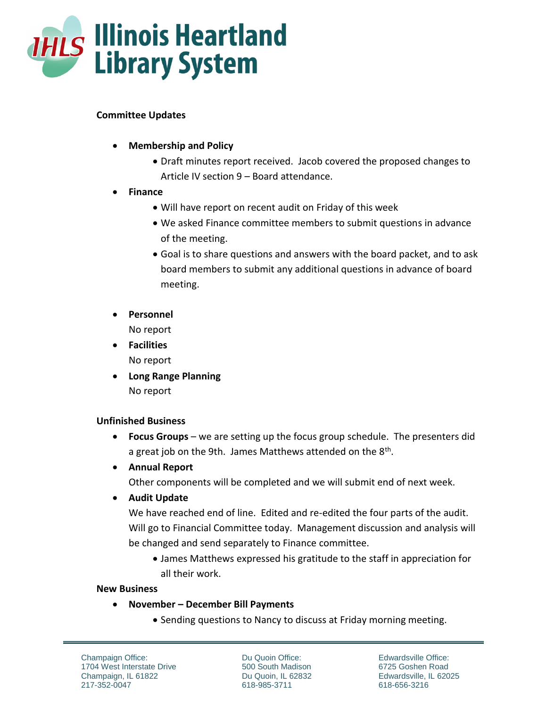

### **Committee Updates**

- **Membership and Policy**
	- Draft minutes report received. Jacob covered the proposed changes to Article IV section 9 – Board attendance.
- **Finance** 
	- Will have report on recent audit on Friday of this week
	- We asked Finance committee members to submit questions in advance of the meeting.
	- Goal is to share questions and answers with the board packet, and to ask board members to submit any additional questions in advance of board meeting.
- **Personnel** No report

 **Facilities** No report

 **Long Range Planning** No report

### **Unfinished Business**

- **Focus Groups** we are setting up the focus group schedule. The presenters did a great job on the 9th. James Matthews attended on the 8<sup>th</sup>.
- **Annual Report**

Other components will be completed and we will submit end of next week.

**Audit Update**

We have reached end of line. Edited and re-edited the four parts of the audit. Will go to Financial Committee today. Management discussion and analysis will be changed and send separately to Finance committee.

 James Matthews expressed his gratitude to the staff in appreciation for all their work.

### **New Business**

- **November – December Bill Payments** 
	- Sending questions to Nancy to discuss at Friday morning meeting.

Champaign Office: 1704 West Interstate Drive Champaign, IL 61822 217-352-0047

Du Quoin Office: 500 South Madison Du Quoin, IL 62832 618-985-3711